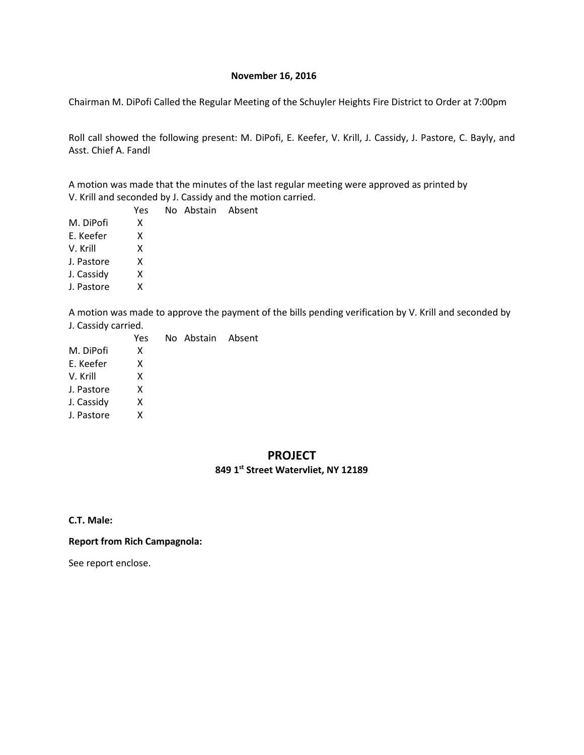#### **November 16, 2016**

Chairman M. DiPofi Called the Regular Meeting of the Schuyler Heights Fire District to Order at 7:00pm

Roll call showed the following present: M. DiPofi, E. Keefer, V. Krill, J. Cassidy, J. Pastore, C. Bayly, and Asst. Chief A. Fandl

A motion was made that the minutes of the last regular meeting were approved as printed by V. Krill and seconded by J. Cassidy and the motion carried.

No Abstain Absent

|            | Yes |
|------------|-----|
| M. DiPofi  | x   |
| F. Keefer  | x   |
| V. Krill   | x   |
| J. Pastore | x   |
| J. Cassidy | x   |
| J. Pastore | x   |
|            |     |

A motion was made to approve the payment of the bills pending verification by V. Krill and seconded by J. Cassidy carried.

|            | Yes. | No Abstain Absent |  |
|------------|------|-------------------|--|
| M. DiPofi  | x    |                   |  |
| E. Keefer  | x    |                   |  |
| V. Krill   | x    |                   |  |
| J. Pastore | x    |                   |  |
| J. Cassidy | x    |                   |  |
| J. Pastore | x    |                   |  |
|            |      |                   |  |

#### **PROJECT**

## **849 1st Street Watervliet, NY 12189**

**C.T. Male:**

**Report from Rich Campagnola:**

See report enclose.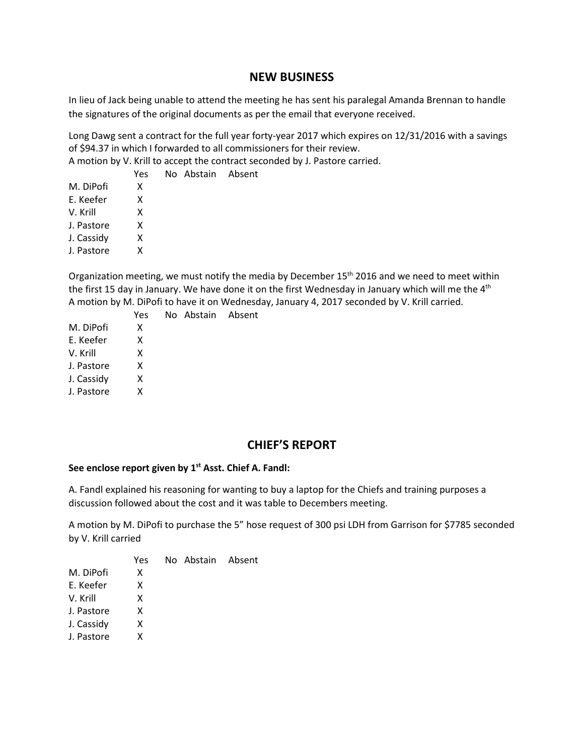# **NEW BUSINESS**

In lieu of Jack being unable to attend the meeting he has sent his paralegal Amanda Brennan to handle the signatures of the original documents as per the email that everyone received.

Long Dawg sent a contract for the full year forty-year 2017 which expires on 12/31/2016 with a savings of \$94.37 in which I forwarded to all commissioners for their review.

A motion by V. Krill to accept the contract seconded by J. Pastore carried.

No Abstain Absent

|            | Yes |
|------------|-----|
| M. DiPofi  | x   |
| F. Keefer  | x   |
| V. Krill   | x   |
| J. Pastore | x   |
| J. Cassidy | x   |
| J. Pastore | x   |
|            |     |

Organization meeting, we must notify the media by December 15<sup>th</sup> 2016 and we need to meet within the first 15 day in January. We have done it on the first Wednesday in January which will me the 4<sup>th</sup> A motion by M. DiPofi to have it on Wednesday, January 4, 2017 seconded by V. Krill carried.

|            | Yes | No Abstain Absent |  |
|------------|-----|-------------------|--|
| M. DiPofi  | x   |                   |  |
| E. Keefer  | x   |                   |  |
| V. Krill   | x   |                   |  |
| J. Pastore | x   |                   |  |
| J. Cassidy | x   |                   |  |
| J. Pastore | x   |                   |  |
|            |     |                   |  |

# **CHIEF'S REPORT**

#### **See enclose report given by 1st Asst. Chief A. Fandl:**

A. Fandl explained his reasoning for wanting to buy a laptop for the Chiefs and training purposes a discussion followed about the cost and it was table to Decembers meeting.

A motion by M. DiPofi to purchase the 5" hose request of 300 psi LDH from Garrison for \$7785 seconded by V. Krill carried

|            | Yes. | No Abstain Absent |  |
|------------|------|-------------------|--|
| M. DiPofi  | x    |                   |  |
| E. Keefer  | x    |                   |  |
| V. Krill   | x    |                   |  |
| J. Pastore | x    |                   |  |
| J. Cassidy | x    |                   |  |
| J. Pastore | x    |                   |  |
|            |      |                   |  |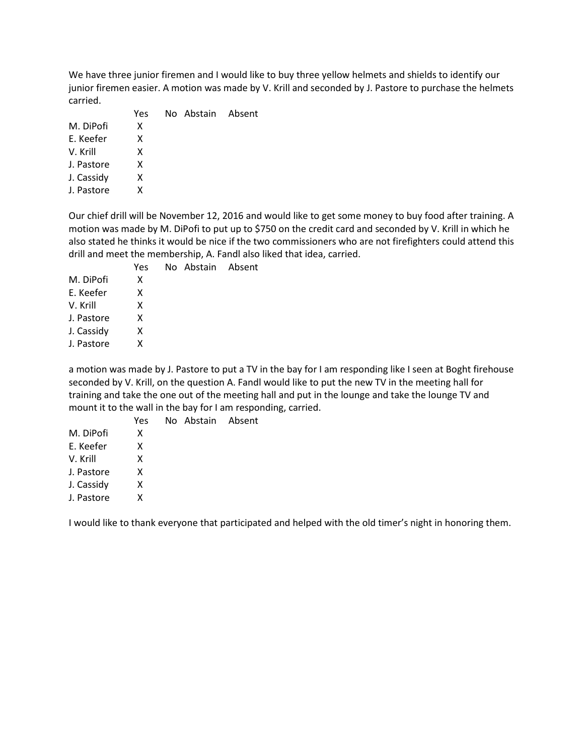We have three junior firemen and I would like to buy three yellow helmets and shields to identify our junior firemen easier. A motion was made by V. Krill and seconded by J. Pastore to purchase the helmets carried.

|            | Yes. | No Abstain Absent |  |
|------------|------|-------------------|--|
| M. DiPofi  | x    |                   |  |
| F. Keefer  | X    |                   |  |
| V. Krill   | x    |                   |  |
| J. Pastore | x    |                   |  |
| J. Cassidy | x    |                   |  |
| J. Pastore | x    |                   |  |
|            |      |                   |  |

Our chief drill will be November 12, 2016 and would like to get some money to buy food after training. A motion was made by M. DiPofi to put up to \$750 on the credit card and seconded by V. Krill in which he also stated he thinks it would be nice if the two commissioners who are not firefighters could attend this drill and meet the membership, A. Fandl also liked that idea, carried.

|            | Yes. | Nο |
|------------|------|----|
| M. DiPofi  | x    |    |
| E. Keefer  | x    |    |
| V. Krill   | x    |    |
| J. Pastore | x    |    |
| J. Cassidy | x    |    |
| J. Pastore | x    |    |
|            |      |    |

a motion was made by J. Pastore to put a TV in the bay for I am responding like I seen at Boght firehouse seconded by V. Krill, on the question A. Fandl would like to put the new TV in the meeting hall for training and take the one out of the meeting hall and put in the lounge and take the lounge TV and mount it to the wall in the bay for I am responding, carried.

|            | r e: |
|------------|------|
| M. DiPofi  | x    |
| F. Keefer  | x    |
| V. Krill   | x    |
| J. Pastore | x    |
| J. Cassidy | x    |
| J. Pastore | x    |
|            |      |

Yes No Abstain Absent

Abstain Absent

I would like to thank everyone that participated and helped with the old timer's night in honoring them.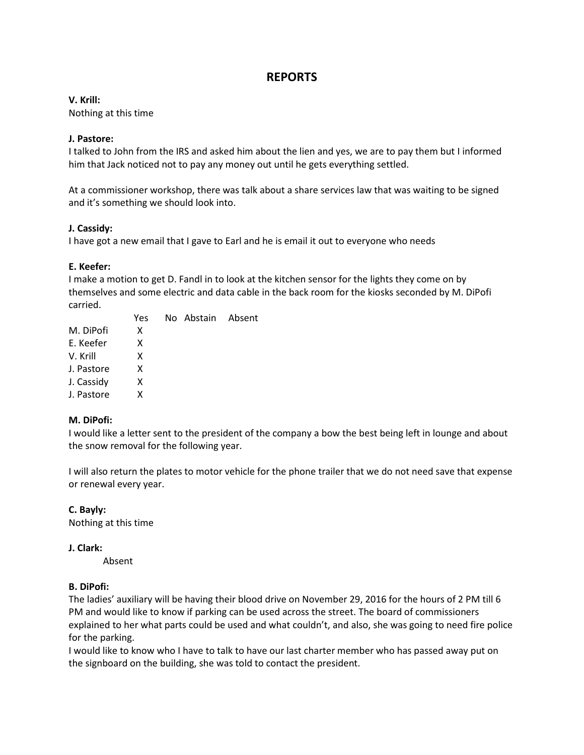# **REPORTS**

#### **V. Krill:**

Nothing at this time

#### **J. Pastore:**

I talked to John from the IRS and asked him about the lien and yes, we are to pay them but I informed him that Jack noticed not to pay any money out until he gets everything settled.

At a commissioner workshop, there was talk about a share services law that was waiting to be signed and it's something we should look into.

#### **J. Cassidy:**

I have got a new email that I gave to Earl and he is email it out to everyone who needs

#### **E. Keefer:**

I make a motion to get D. Fandl in to look at the kitchen sensor for the lights they come on by themselves and some electric and data cable in the back room for the kiosks seconded by M. DiPofi carried.

|            | Yes. | No Abstain Absent |  |
|------------|------|-------------------|--|
| M. DiPofi  | x    |                   |  |
| E. Keefer  | x    |                   |  |
| V. Krill   | x    |                   |  |
| J. Pastore | x    |                   |  |
| J. Cassidy | x    |                   |  |
| J. Pastore | x    |                   |  |
|            |      |                   |  |

## **M. DiPofi:**

I would like a letter sent to the president of the company a bow the best being left in lounge and about the snow removal for the following year.

I will also return the plates to motor vehicle for the phone trailer that we do not need save that expense or renewal every year.

**C. Bayly:** Nothing at this time

#### **J. Clark:**

Absent

#### **B. DiPofi:**

The ladies' auxiliary will be having their blood drive on November 29, 2016 for the hours of 2 PM till 6 PM and would like to know if parking can be used across the street. The board of commissioners explained to her what parts could be used and what couldn't, and also, she was going to need fire police for the parking.

I would like to know who I have to talk to have our last charter member who has passed away put on the signboard on the building, she was told to contact the president.